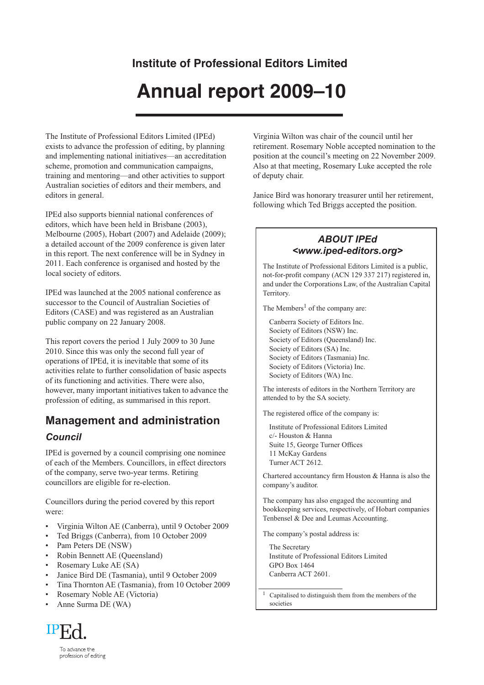# **Institute of Professional Editors Limited**

# **Annual report 2009–10**

The Institute of Professional Editors Limited (IPEd) exists to advance the profession of editing, by planning and implementing national initiatives—an accreditation scheme, promotion and communication campaigns, training and mentoring—and other activities to support Australian societies of editors and their members, and editors in general.

IPEd also supports biennial national conferences of editors, which have been held in Brisbane (2003), Melbourne (2005), Hobart (2007) and Adelaide (2009); a detailed account of the 2009 conference is given later in this report. The next conference will be in Sydney in 2011. Each conference is organised and hosted by the local society of editors.

IPEd was launched at the 2005 national conference as successor to the Council of Australian Societies of Editors (CASE) and was registered as an Australian public company on 22 January 2008.

This report covers the period 1 July 2009 to 30 June 2010. Since this was only the second full year of operations of IPEd, it is inevitable that some of its activities relate to further consolidation of basic aspects of its functioning and activities. There were also, however, many important initiatives taken to advance the profession of editing, as summarised in this report.

## **Management and administration**

#### *Council*

IPEd is governed by a council comprising one nominee of each of the Members. Councillors, in effect directors of the company, serve two-year terms. Retiring councillors are eligible for re-election.

Councillors during the period covered by this report were:

- Virginia Wilton AE (Canberra), until 9 October 2009
- Ted Briggs (Canberra), from 10 October 2009
- Pam Peters DE (NSW)
- Robin Bennett AE (Queensland)
- Rosemary Luke AE (SA)
- Janice Bird DE (Tasmania), until 9 October 2009
- Tina Thornton AE (Tasmania), from 10 October 2009
- Rosemary Noble AE (Victoria)
- Anne Surma DE (WA)



Virginia Wilton was chair of the council until her retirement. Rosemary Noble accepted nomination to the position at the council's meeting on 22 November 2009. Also at that meeting, Rosemary Luke accepted the role of deputy chair.

Janice Bird was honorary treasurer until her retirement, following which Ted Briggs accepted the position.

#### *ABOUT IPEd <www.iped-editors.org>*

The Institute of Professional Editors Limited is a public, not-for-profit company (ACN 129 337 217) registered in, and under the Corporations Law, of the Australian Capital Territory.

The Members<sup>1</sup> of the company are:

Canberra Society of Editors Inc. Society of Editors (NSW) Inc. Society of Editors (Queensland) Inc. Society of Editors (SA) Inc. Society of Editors (Tasmania) Inc. Society of Editors (Victoria) Inc. Society of Editors (WA) Inc.

The interests of editors in the Northern Territory are attended to by the SA society.

The registered office of the company is:

Institute of Professional Editors Limited c/- Houston & Hanna Suite 15, George Turner Offices 11 McKay Gardens Turner ACT 2612.

Chartered accountancy firm Houston & Hanna is also the company's auditor.

The company has also engaged the accounting and bookkeeping services, respectively, of Hobart companies Tenbensel & Dee and Leumas Accounting.

The company's postal address is:

The Secretary Institute of Professional Editors Limited GPO Box 1464 Canberra ACT 2601.

Capitalised to distinguish them from the members of the societies

To advance the profession of editing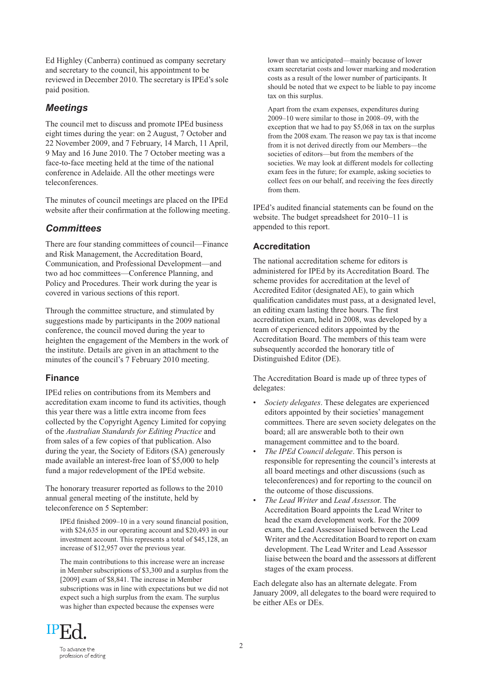Ed Highley (Canberra) continued as company secretary and secretary to the council, his appointment to be reviewed in December 2010. The secretary is IPEd's sole paid position.

#### *Meetings*

The council met to discuss and promote IPEd business eight times during the year: on 2 August, 7 October and 22 November 2009, and 7 February, 14 March, 11 April, 9 May and 16 June 2010. The 7 October meeting was a face-to-face meeting held at the time of the national conference in Adelaide. All the other meetings were teleconferences.

The minutes of council meetings are placed on the IPEd website after their confirmation at the following meeting.

#### *Committees*

There are four standing committees of council—Finance and Risk Management, the Accreditation Board, Communication, and Professional Development—and two ad hoc committees—Conference Planning, and Policy and Procedures. Their work during the year is covered in various sections of this report.

Through the committee structure, and stimulated by suggestions made by participants in the 2009 national conference, the council moved during the year to heighten the engagement of the Members in the work of the institute. Details are given in an attachment to the minutes of the council's 7 February 2010 meeting.

#### **Finance**

IPEd relies on contributions from its Members and accreditation exam income to fund its activities, though this year there was a little extra income from fees collected by the Copyright Agency Limited for copying of the *Australian Standards for Editing Practice* and from sales of a few copies of that publication. Also during the year, the Society of Editors (SA) generously made available an interest-free loan of \$5,000 to help fund a major redevelopment of the IPEd website.

The honorary treasurer reported as follows to the 2010 annual general meeting of the institute, held by teleconference on 5 September:

IPEd finished 2009–10 in a very sound financial position, with \$24,635 in our operating account and \$20,493 in our investment account. This represents a total of \$45,128, an increase of \$12,957 over the previous year.

The main contributions to this increase were an increase in Member subscriptions of \$3,300 and a surplus from the [2009] exam of \$8,841. The increase in Member subscriptions was in line with expectations but we did not expect such a high surplus from the exam. The surplus was higher than expected because the expenses were

lower than we anticipated—mainly because of lower exam secretariat costs and lower marking and moderation costs as a result of the lower number of participants. It should be noted that we expect to be liable to pay income tax on this surplus.

Apart from the exam expenses, expenditures during 2009–10 were similar to those in 2008–09, with the exception that we had to pay \$5,068 in tax on the surplus from the 2008 exam. The reason we pay tax is that income from it is not derived directly from our Members—the societies of editors—but from the members of the societies. We may look at different models for collecting exam fees in the future; for example, asking societies to collect fees on our behalf, and receiving the fees directly from them.

IPEd's audited financial statements can be found on the website. The budget spreadsheet for 2010–11 is appended to this report.

#### **Accreditation**

The national accreditation scheme for editors is administered for IPEd by its Accreditation Board. The scheme provides for accreditation at the level of Accredited Editor (designated AE), to gain which qualification candidates must pass, at a designated level, an editing exam lasting three hours. The first accreditation exam, held in 2008, was developed by a team of experienced editors appointed by the Accreditation Board. The members of this team were subsequently accorded the honorary title of Distinguished Editor (DE).

The Accreditation Board is made up of three types of delegates:

- *Society delegates*. These delegates are experienced editors appointed by their societies' management committees. There are seven society delegates on the board; all are answerable both to their own management committee and to the board.
- *The IPEd Council delegate*. This person is responsible for representing the council's interests at all board meetings and other discussions (such as teleconferences) and for reporting to the council on the outcome of those discussions.
- *The Lead Writer* and *Lead Assesso*r. The Accreditation Board appoints the Lead Writer to head the exam development work. For the 2009 exam, the Lead Assessor liaised between the Lead Writer and the Accreditation Board to report on exam development. The Lead Writer and Lead Assessor liaise between the board and the assessors at different stages of the exam process.

Each delegate also has an alternate delegate. From January 2009, all delegates to the board were required to be either AEs or DEs.

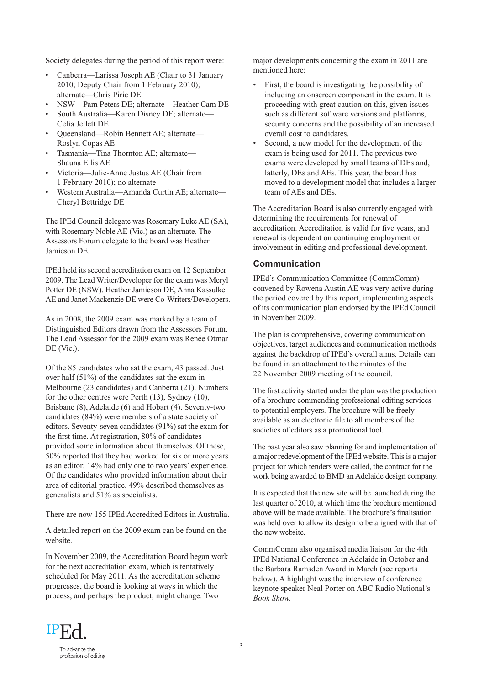Society delegates during the period of this report were:

- Canberra—Larissa Joseph AE (Chair to 31 January 2010; Deputy Chair from 1 February 2010); alternate—Chris Pirie DE
- NSW—Pam Peters DE; alternate—Heather Cam DE
- South Australia—Karen Disney DE; alternate— Celia Jellett DE
- Queensland—Robin Bennett AE; alternate— Roslyn Copas AE
- Tasmania—Tina Thornton AE; alternate— Shauna Ellis AE
- Victoria—Julie-Anne Justus AE (Chair from 1 February 2010); no alternate
- Western Australia—Amanda Curtin AE; alternate— Cheryl Bettridge DE

The IPEd Council delegate was Rosemary Luke AE (SA), with Rosemary Noble AE (Vic.) as an alternate. The Assessors Forum delegate to the board was Heather Jamieson DE.

IPEd held its second accreditation exam on 12 September 2009. The Lead Writer/Developer for the exam was Meryl Potter DE (NSW). Heather Jamieson DE, Anna Kassulke AE and Janet Mackenzie DE were Co-Writers/Developers.

As in 2008, the 2009 exam was marked by a team of Distinguished Editors drawn from the Assessors Forum. The Lead Assessor for the 2009 exam was Renée Otmar DE (Vic.).

Of the 85 candidates who sat the exam, 43 passed. Just over half (51%) of the candidates sat the exam in Melbourne (23 candidates) and Canberra (21). Numbers for the other centres were Perth (13), Sydney (10), Brisbane (8), Adelaide (6) and Hobart (4). Seventy-two candidates (84%) were members of a state society of editors. Seventy-seven candidates (91%) sat the exam for the first time. At registration, 80% of candidates provided some information about themselves. Of these, 50% reported that they had worked for six or more years as an editor; 14% had only one to two years' experience. Of the candidates who provided information about their area of editorial practice, 49% described themselves as generalists and 51% as specialists.

There are now 155 IPEd Accredited Editors in Australia.

A detailed report on the 2009 exam can be found on the website.

In November 2009, the Accreditation Board began work for the next accreditation exam, which is tentatively scheduled for May 2011. As the accreditation scheme progresses, the board is looking at ways in which the process, and perhaps the product, might change. Two

major developments concerning the exam in 2011 are mentioned here:

- First, the board is investigating the possibility of including an onscreen component in the exam. It is proceeding with great caution on this, given issues such as different software versions and platforms, security concerns and the possibility of an increased overall cost to candidates.
- Second, a new model for the development of the exam is being used for 2011. The previous two exams were developed by small teams of DEs and, latterly, DEs and AEs. This year, the board has moved to a development model that includes a larger team of AEs and DEs.

The Accreditation Board is also currently engaged with determining the requirements for renewal of accreditation. Accreditation is valid for five years, and renewal is dependent on continuing employment or involvement in editing and professional development.

#### **Communication**

IPEd's Communication Committee (CommComm) convened by Rowena Austin AE was very active during the period covered by this report, implementing aspects of its communication plan endorsed by the IPEd Council in November 2009.

The plan is comprehensive, covering communication objectives, target audiences and communication methods against the backdrop of IPEd's overall aims. Details can be found in an attachment to the minutes of the 22 November 2009 meeting of the council.

The first activity started under the plan was the production of a brochure commending professional editing services to potential employers. The brochure will be freely available as an electronic file to all members of the societies of editors as a promotional tool.

The past year also saw planning for and implementation of a major redevelopment of the IPEd website. This is a major project for which tenders were called, the contract for the work being awarded to BMD an Adelaide design company.

It is expected that the new site will be launched during the last quarter of 2010, at which time the brochure mentioned above will be made available. The brochure's finalisation was held over to allow its design to be aligned with that of the new website.

CommComm also organised media liaison for the 4th IPEd National Conference in Adelaide in October and the Barbara Ramsden Award in March (see reports below). A highlight was the interview of conference keynote speaker Neal Porter on ABC Radio National's *Book Show*.

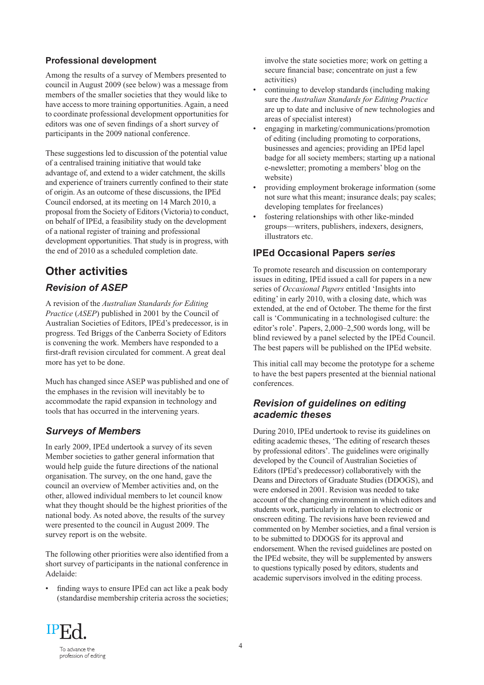#### **Professional development**

Among the results of a survey of Members presented to council in August 2009 (see below) was a message from members of the smaller societies that they would like to have access to more training opportunities. Again, a need to coordinate professional development opportunities for editors was one of seven findings of a short survey of participants in the 2009 national conference.

These suggestions led to discussion of the potential value of a centralised training initiative that would take advantage of, and extend to a wider catchment, the skills and experience of trainers currently confined to their state of origin. As an outcome of these discussions, the IPEd Council endorsed, at its meeting on 14 March 2010, a proposal from the Society of Editors (Victoria) to conduct, on behalf of IPEd, a feasibility study on the development of a national register of training and professional development opportunities. That study is in progress, with the end of 2010 as a scheduled completion date.

# **Other activities**

#### *Revision of ASEP*

A revision of the *Australian Standards for Editing Practice* (*ASEP*) published in 2001 by the Council of Australian Societies of Editors, IPEd's predecessor, is in progress. Ted Briggs of the Canberra Society of Editors is convening the work. Members have responded to a first-draft revision circulated for comment. A great deal more has yet to be done.

Much has changed since ASEP was published and one of the emphases in the revision will inevitably be to accommodate the rapid expansion in technology and tools that has occurred in the intervening years.

#### *Surveys of Members*

In early 2009, IPEd undertook a survey of its seven Member societies to gather general information that would help guide the future directions of the national organisation. The survey, on the one hand, gave the council an overview of Member activities and, on the other, allowed individual members to let council know what they thought should be the highest priorities of the national body. As noted above, the results of the survey were presented to the council in August 2009. The survey report is on the website.

The following other priorities were also identified from a short survey of participants in the national conference in Adelaide:

finding ways to ensure IPEd can act like a peak body (standardise membership criteria across the societies;

involve the state societies more; work on getting a secure financial base; concentrate on just a few activities)

- continuing to develop standards (including making sure the *Australian Standards for Editing Practice* are up to date and inclusive of new technologies and areas of specialist interest)
- engaging in marketing/communications/promotion of editing (including promoting to corporations, businesses and agencies; providing an IPEd lapel badge for all society members; starting up a national e-newsletter; promoting a members' blog on the website)
- providing employment brokerage information (some not sure what this meant; insurance deals; pay scales; developing templates for freelances)
- fostering relationships with other like-minded groups—writers, publishers, indexers, designers, illustrators etc.

#### **IPEd Occasional Papers** *series*

To promote research and discussion on contemporary issues in editing, IPEd issued a call for papers in a new series of *Occasional Papers* entitled 'Insights into editing' in early 2010, with a closing date, which was extended, at the end of October. The theme for the first call is 'Communicating in a technologised culture: the editor's role'. Papers, 2,000–2,500 words long, will be blind reviewed by a panel selected by the IPEd Council. The best papers will be published on the IPEd website.

This initial call may become the prototype for a scheme to have the best papers presented at the biennial national conferences.

#### *Revision of guidelines on editing academic theses*

During 2010, IPEd undertook to revise its guidelines on editing academic theses, 'The editing of research theses by professional editors'. The guidelines were originally developed by the Council of Australian Societies of Editors (IPEd's predecessor) collaboratively with the Deans and Directors of Graduate Studies (DDOGS), and were endorsed in 2001. Revision was needed to take account of the changing environment in which editors and students work, particularly in relation to electronic or onscreen editing. The revisions have been reviewed and commented on by Member societies, and a final version is to be submitted to DDOGS for its approval and endorsement. When the revised guidelines are posted on the IPEd website, they will be supplemented by answers to questions typically posed by editors, students and academic supervisors involved in the editing process.

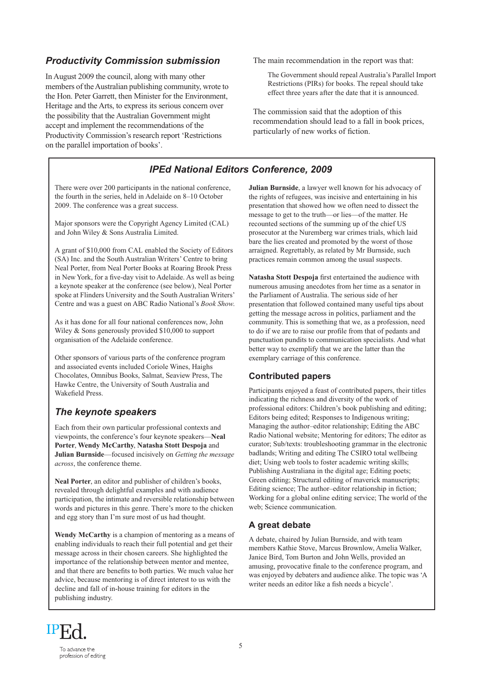#### *Productivity Commission submission*

In August 2009 the council, along with many other members of the Australian publishing community, wrote to the Hon. Peter Garrett, then Minister for the Environment, Heritage and the Arts, to express its serious concern over the possibility that the Australian Government might accept and implement the recommendations of the Productivity Commission's research report 'Restrictions on the parallel importation of books'.

There were over 200 participants in the national conference, the fourth in the series, held in Adelaide on 8–10 October 2009. The conference was a great success.

Major sponsors were the Copyright Agency Limited (CAL) and John Wiley & Sons Australia Limited.

A grant of \$10,000 from CAL enabled the Society of Editors (SA) Inc. and the South Australian Writers' Centre to bring Neal Porter, from Neal Porter Books at Roaring Brook Press in New York, for a five-day visit to Adelaide. As well as being a keynote speaker at the conference (see below), Neal Porter spoke at Flinders University and the South Australian Writers' Centre and was a guest on ABC Radio National's *Book Show*.

As it has done for all four national conferences now, John Wiley & Sons generously provided \$10,000 to support organisation of the Adelaide conference.

Other sponsors of various parts of the conference program and associated events included Coriole Wines, Haighs Chocolates, Omnibus Books, Salmat, Seaview Press, The Hawke Centre, the University of South Australia and Wakefield Press.

#### *The keynote speakers*

Each from their own particular professional contexts and viewpoints, the conference's four keynote speakers—**Neal Porter**, **Wendy McCarthy**, **Natasha Stott Despoja** and **Julian Burnside**—focused incisively on *Getting the message across*, the conference theme.

**Neal Porter**, an editor and publisher of children's books, revealed through delightful examples and with audience participation, the intimate and reversible relationship between words and pictures in this genre. There's more to the chicken and egg story than I'm sure most of us had thought.

**Wendy McCarthy** is a champion of mentoring as a means of enabling individuals to reach their full potential and get their message across in their chosen careers. She highlighted the importance of the relationship between mentor and mentee, and that there are benefits to both parties. We much value her advice, because mentoring is of direct interest to us with the decline and fall of in-house training for editors in the publishing industry.

The main recommendation in the report was that:

The Government should repeal Australia's Parallel Import Restrictions (PIRs) for books. The repeal should take effect three years after the date that it is announced.

The commission said that the adoption of this recommendation should lead to a fall in book prices, particularly of new works of fiction.

#### *IPEd National Editors Conference, 2009*

**Julian Burnside**, a lawyer well known for his advocacy of the rights of refugees, was incisive and entertaining in his presentation that showed how we often need to dissect the message to get to the truth—or lies—of the matter. He recounted sections of the summing up of the chief US prosecutor at the Nuremberg war crimes trials, which laid bare the lies created and promoted by the worst of those arraigned. Regrettably, as related by Mr Burnside, such practices remain common among the usual suspects.

**Natasha Stott Despoja** first entertained the audience with numerous amusing anecdotes from her time as a senator in the Parliament of Australia. The serious side of her presentation that followed contained many useful tips about getting the message across in politics, parliament and the community. This is something that we, as a profession, need to do if we are to raise our profile from that of pedants and punctuation pundits to communication specialists. And what better way to exemplify that we are the latter than the exemplary carriage of this conference.

#### **Contributed papers**

Participants enjoyed a feast of contributed papers, their titles indicating the richness and diversity of the work of professional editors: Children's book publishing and editing; Editors being edited; Responses to Indigenous writing; Managing the author–editor relationship; Editing the ABC Radio National website; Mentoring for editors; The editor as curator; Sub/texts: troubleshooting grammar in the electronic badlands; Writing and editing The CSIRO total wellbeing diet; Using web tools to foster academic writing skills; Publishing Australiana in the digital age; Editing poets; Green editing; Structural editing of maverick manuscripts; Editing science; The author–editor relationship in fiction; Working for a global online editing service; The world of the web; Science communication.

#### **A great debate**

A debate, chaired by Julian Burnside, and with team members Kathie Stove, Marcus Brownlow, Amelia Walker, Janice Bird, Tom Burton and John Wells, provided an amusing, provocative finale to the conference program, and was enjoyed by debaters and audience alike. The topic was 'A writer needs an editor like a fish needs a bicycle'.

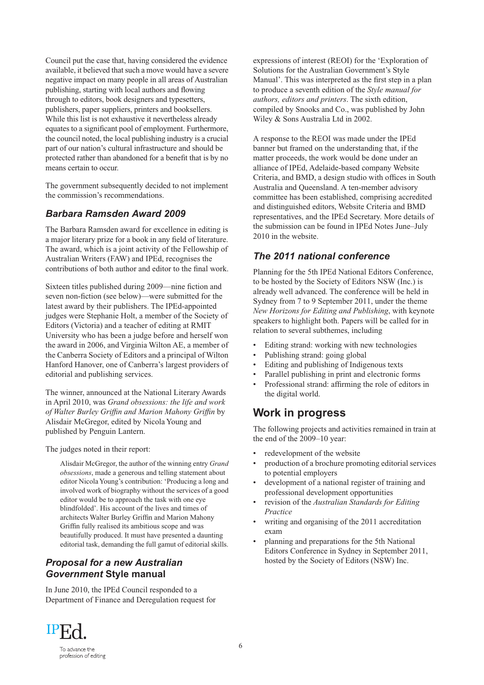Council put the case that, having considered the evidence available, it believed that such a move would have a severe negative impact on many people in all areas of Australian publishing, starting with local authors and flowing through to editors, book designers and typesetters, publishers, paper suppliers, printers and booksellers. While this list is not exhaustive it nevertheless already equates to a significant pool of employment. Furthermore, the council noted, the local publishing industry is a crucial part of our nation's cultural infrastructure and should be protected rather than abandoned for a benefit that is by no means certain to occur.

The government subsequently decided to not implement the commission's recommendations.

#### *Barbara Ramsden Award 2009*

The Barbara Ramsden award for excellence in editing is a major literary prize for a book in any field of literature. The award, which is a joint activity of the Fellowship of Australian Writers (FAW) and IPEd, recognises the contributions of both author and editor to the final work.

Sixteen titles published during 2009—nine fiction and seven non-fiction (see below)—were submitted for the latest award by their publishers. The IPEd-appointed judges were Stephanie Holt, a member of the Society of Editors (Victoria) and a teacher of editing at RMIT University who has been a judge before and herself won the award in 2006, and Virginia Wilton AE, a member of the Canberra Society of Editors and a principal of Wilton Hanford Hanover, one of Canberra's largest providers of editorial and publishing services.

The winner, announced at the National Literary Awards in April 2010, was *Grand obsessions: the life and work of Walter Burley Griffin and Marion Mahony Griffin* by Alisdair McGregor, edited by Nicola Young and published by Penguin Lantern.

The judges noted in their report:

Alisdair McGregor, the author of the winning entry *Grand obsessions*, made a generous and telling statement about editor Nicola Young's contribution: 'Producing a long and involved work of biography without the services of a good editor would be to approach the task with one eye blindfolded'. His account of the lives and times of architects Walter Burley Griffin and Marion Mahony Griffin fully realised its ambitious scope and was beautifully produced. It must have presented a daunting editorial task, demanding the full gamut of editorial skills.

#### *Proposal for a new Australian Government* **Style manual**

In June 2010, the IPEd Council responded to a Department of Finance and Deregulation request for

expressions of interest (REOI) for the 'Exploration of Solutions for the Australian Government's Style Manual'. This was interpreted as the first step in a plan to produce a seventh edition of the *Style manual for authors, editors and printers*. The sixth edition, compiled by Snooks and Co., was published by John Wiley & Sons Australia Ltd in 2002.

A response to the REOI was made under the IPEd banner but framed on the understanding that, if the matter proceeds, the work would be done under an alliance of IPEd, Adelaide-based company Website Criteria, and BMD, a design studio with offices in South Australia and Queensland. A ten-member advisory committee has been established, comprising accredited and distinguished editors, Website Criteria and BMD representatives, and the IPEd Secretary. More details of the submission can be found in IPEd Notes June–July 2010 in the website.

#### *The 2011 national conference*

Planning for the 5th IPEd National Editors Conference, to be hosted by the Society of Editors NSW (Inc.) is already well advanced. The conference will be held in Sydney from 7 to 9 September 2011, under the theme *New Horizons for Editing and Publishing*, with keynote speakers to highlight both. Papers will be called for in relation to several subthemes, including

- Editing strand: working with new technologies
- Publishing strand: going global
- Editing and publishing of Indigenous texts
- Parallel publishing in print and electronic forms
- Professional strand: affirming the role of editors in the digital world.

### **Work in progress**

The following projects and activities remained in train at the end of the 2009–10 year:

- redevelopment of the website
- production of a brochure promoting editorial services to potential employers
- development of a national register of training and professional development opportunities
- revision of the *Australian Standards for Editing Practice*
- writing and organising of the 2011 accreditation exam
- planning and preparations for the 5th National Editors Conference in Sydney in September 2011, hosted by the Society of Editors (NSW) Inc.